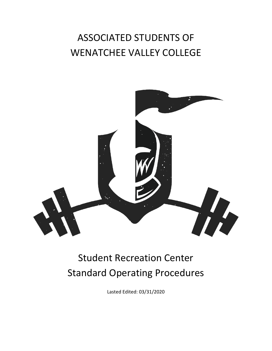# ASSOCIATED STUDENTS OF WENATCHEE VALLEY COLLEGE



# Student Recreation Center Standard Operating Procedures

Lasted Edited: 03/31/2020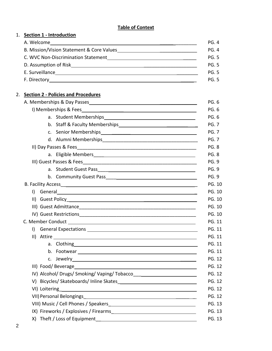# **Table of Context**

# 1. **Section 1 - Introduction**

| A. Welcome                                | <b>PG. 4</b> |
|-------------------------------------------|--------------|
| B. Mission/Vision Statement & Core Values | PG. 4        |
| C. WVC Non-Discrimination Statement       | <b>PG. 5</b> |
| D. Assumption of Risk                     | PG.5         |
| E. Surveillance                           | PG.5         |
| F. Directory                              | PG. 5        |

# 2. **Section 2 - Policies and Procedures**

|                                                                                                                                                                                                                                      | <b>PG.6</b>   |  |  |
|--------------------------------------------------------------------------------------------------------------------------------------------------------------------------------------------------------------------------------------|---------------|--|--|
|                                                                                                                                                                                                                                      | <b>PG.6</b>   |  |  |
|                                                                                                                                                                                                                                      | <b>PG. 7</b>  |  |  |
| c. Senior Memberships<br><u>Canadian Communication</u>                                                                                                                                                                               | <b>PG. 7</b>  |  |  |
|                                                                                                                                                                                                                                      | <b>PG. 7</b>  |  |  |
|                                                                                                                                                                                                                                      | <b>PG.8</b>   |  |  |
|                                                                                                                                                                                                                                      | <b>PG.8</b>   |  |  |
|                                                                                                                                                                                                                                      | <b>PG. 9</b>  |  |  |
|                                                                                                                                                                                                                                      | <b>PG. 9</b>  |  |  |
|                                                                                                                                                                                                                                      | <b>PG. 9</b>  |  |  |
| B. Facility Access <b>Parameter and Contact Control Contact Contact Contact Contact Contact Contact Contact Contact Contact Contact Contact Contact Contact Contact Contact Contact Contact Contact Contact Contact Contact Cont</b> | <b>PG. 10</b> |  |  |
| I) General experiments and the second service of the service of the service of the service of the service of the service of the service of the service of the service of the service of the service of the service of the serv       | PG. 10        |  |  |
|                                                                                                                                                                                                                                      | PG. 10        |  |  |
|                                                                                                                                                                                                                                      | PG. 10        |  |  |
|                                                                                                                                                                                                                                      | PG. 10        |  |  |
|                                                                                                                                                                                                                                      | <b>PG. 11</b> |  |  |
|                                                                                                                                                                                                                                      | PG. 11        |  |  |
|                                                                                                                                                                                                                                      | <b>PG. 11</b> |  |  |
|                                                                                                                                                                                                                                      | PG. 11        |  |  |
|                                                                                                                                                                                                                                      | <b>PG. 11</b> |  |  |
|                                                                                                                                                                                                                                      | PG. 12        |  |  |
|                                                                                                                                                                                                                                      | PG. 12        |  |  |
| IV) Alcohol/ Drugs/ Smoking/ Vaping/ Tobacco                                                                                                                                                                                         | <b>PG. 12</b> |  |  |
|                                                                                                                                                                                                                                      | PG. 12        |  |  |
|                                                                                                                                                                                                                                      | <b>PG. 12</b> |  |  |
|                                                                                                                                                                                                                                      |               |  |  |
|                                                                                                                                                                                                                                      |               |  |  |
|                                                                                                                                                                                                                                      | <b>PG. 13</b> |  |  |
|                                                                                                                                                                                                                                      | <b>PG. 13</b> |  |  |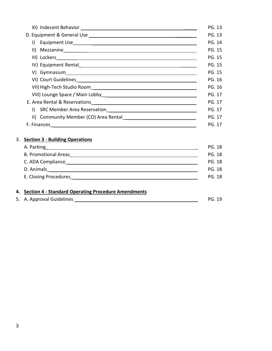|                                                                                     | PG. 13 |
|-------------------------------------------------------------------------------------|--------|
|                                                                                     | PG. 13 |
|                                                                                     | PG. 14 |
|                                                                                     | PG. 15 |
|                                                                                     | PG. 15 |
|                                                                                     | PG. 15 |
|                                                                                     | PG. 15 |
|                                                                                     | PG. 16 |
|                                                                                     | PG. 16 |
|                                                                                     | PG. 17 |
|                                                                                     | PG. 17 |
| $\mathsf{I}$                                                                        | PG. 17 |
| II) Community Member (CO) Area Rental [1994] [19] Community Member (CO) Area Rental | PG. 17 |
|                                                                                     | PG. 17 |

# 3. **Section 3 - Building Operations**

| A. Parking <u>entities and the set of the set of the set of the set of the set of the set of the set of the set of the set of the set of the set of the set of the set of the set of the set of the set of the set of the set of</u><br><b>PG. 18</b> |
|-------------------------------------------------------------------------------------------------------------------------------------------------------------------------------------------------------------------------------------------------------|
| <b>PG. 18</b>                                                                                                                                                                                                                                         |
| <b>PG. 18</b>                                                                                                                                                                                                                                         |
| <b>PG. 18</b>                                                                                                                                                                                                                                         |
| E. Closing Procedures and the state of the state of the state of the state of the state of the state of the state of the state of the state of the state of the state of the state of the state of the state of the state of t<br>PG. 18              |
|                                                                                                                                                                                                                                                       |
|                                                                                                                                                                                                                                                       |

# **4. Section 4 - Standard Operating Procedure Amendments**

|  | 5. A. Approval Guidelines |  | <b>PG. 19</b> |
|--|---------------------------|--|---------------|
|--|---------------------------|--|---------------|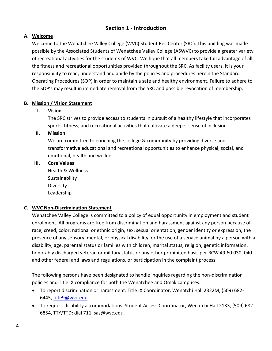# **Section 1 - Introduction**

# **A. Welcome**

Welcome to the Wenatchee Valley College (WVC) Student Rec Center (SRC). This building was made possible by the Associated Students of Wenatchee Valley College (ASWVC) to provide a greater variety of recreational activities for the students of WVC. We hope that all members take full advantage of all the fitness and recreational opportunities provided throughout the SRC. As facility users, it is your responsibility to read, understand and abide by the policies and procedures herein the Standard Operating Procedures (SOP) in order to maintain a safe and healthy environment. Failure to adhere to the SOP's may result in immediate removal from the SRC and possible revocation of membership.

## **B. Mission / Vision Statement**

## **I. Vision**

The SRC strives to provide access to students in pursuit of a healthy lifestyle that incorporates sports, fitness, and recreational activities that cultivate a deeper sense of inclusion.

## **II. Mission**

We are committed to enriching the college & community by providing diverse and transformative educational and recreational opportunities to enhance physical, social, and emotional, health and wellness.

#### **III. Core Values**

Health & Wellness Sustainability Diversity Leadership

# **C. WVC Non-Discrimination Statement**

Wenatchee Valley College is committed to a policy of equal opportunity in employment and student enrollment. All programs are free from discrimination and harassment against any person because of race, creed, color, national or ethnic origin, sex, sexual orientation, gender identity or expression, the presence of any sensory, mental, or physical disability, or the use of a service animal by a person with a disability, age, parental status or families with children, marital status, religion, genetic information, honorably discharged veteran or military status or any other prohibited basis per RCW 49.60.030, 040 and other federal and laws and regulations, or participation in the complaint process.

The following persons have been designated to handle inquiries regarding the non-discrimination policies and Title IX compliance for both the Wenatchee and Omak campuses:

- To report discrimination or harassment: Title IX Coordinator, Wenatchi Hall 2322M, (509) 682- 6445, [title9@wvc.edu.](mailto:title9@wvc.edu)
- To request disability accommodations: Student Access Coordinator, Wenatchi Hall 2133, (509) 682- 6854, TTY/TTD: dial 711, sas@wvc.edu.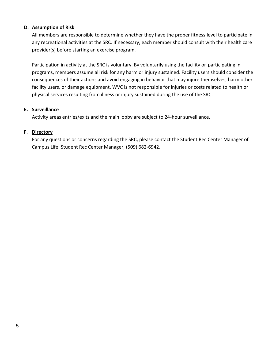# **D. Assumption of Risk**

All members are responsible to determine whether they have the proper fitness level to participate in any recreational activities at the SRC. If necessary, each member should consult with their health care provider(s) before starting an exercise program.

Participation in activity at the SRC is voluntary. By voluntarily using the facility or participating in programs, members assume all risk for any harm or injury sustained. Facility users should consider the consequences of their actions and avoid engaging in behavior that may injure themselves, harm other facility users, or damage equipment. WVC is not responsible for injuries or costs related to health or physical services resulting from illness or injury sustained during the use of the SRC.

#### **E. Surveillance**

Activity areas entries/exits and the main lobby are subject to 24-hour surveillance.

#### **F. Directory**

For any questions or concerns regarding the SRC, please contact the Student Rec Center Manager of Campus Life. Student Rec Center Manager, (509) 682-6942.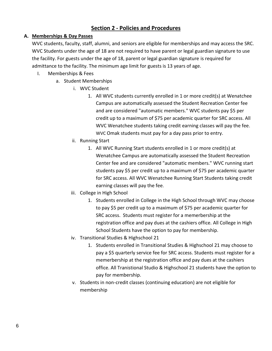# **Section 2 - Policies and Procedures**

# **A. Memberships & Day Passes**

WVC students, faculty, staff, alumni, and seniors are eligible for memberships and may access the SRC. WVC Students under the age of 18 are not required to have parent or legal guardian signature to use the facility. For guests under the age of 18, parent or legal guardian signature is required for admittance to the facility. The minimum age limit for guests is 13 years of age.

- I. Memberships & Fees
	- a. Student Memberships
		- i. WVC Student
			- 1. All WVC students currently enrolled in 1 or more credit(s) at Wenatchee Campus are automatically assessed the Student Recreation Center fee and are considered "automatic members." WVC students pay \$5 per credit up to a maximum of \$75 per academic quarter for SRC access. All WVC Wenatchee students taking credit earning classes will pay the fee. WVC Omak students must pay for a day pass prior to entry.
		- ii. Running Start
			- 1. All WVC Running Start students enrolled in 1 or more credit(s) at Wenatchee Campus are automatically assessed the Student Recreation Center fee and are considered "automatic members." WVC running start students pay \$5 per credit up to a maximum of \$75 per academic quarter for SRC access. All WVC Wenatchee Running Start Students taking credit earning classes will pay the fee.
		- iii. College in High School
			- 1. Students enrolled in College in the High School through WVC may choose to pay \$5 per credit up to a maximum of \$75 per academic quarter for SRC access. Students must register for a memerbership at the registration office and pay dues at the cashiers office. All College in High School Students have the option to pay for membership.
		- iv. Transitional Studies & Highschool 21
			- 1. Students enrolled in Transitional Studies & Highschool 21 may choose to pay a \$5 quarterly service fee for SRC access. Students must register for a memerbership at the registration office and pay dues at the cashiers office. All Tranistional Studio & Highschool 21 students have the option to pay for membership.
		- v. Students in non-credit classes (continuing education) are not eligible for membership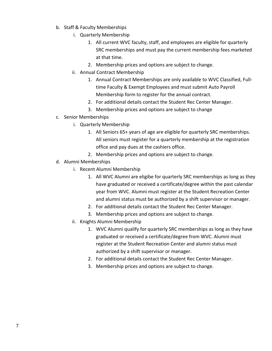- b. Staff & Faculty Memberships
	- i. Quarterly Membership
		- 1. All current WVC faculty, staff, and employees are eligible for quarterly SRC memberships and must pay the current membership fees marketed at that time.
		- 2. Membership prices and options are subject to change.
	- ii. Annual Contract Membership
		- 1. Annual Contract Memberships are only available to WVC Classified, Fulltime Faculty & Exempt Employees and must submit Auto Payroll Membership form to register for the annual contract.
		- 2. For additional details contact the Student Rec Center Manager.
		- 3. Membership prices and options are subject to change
- c. Senior Memberships
	- i. Quarterly Membership
		- 1. All Seniors 65+ years of age are eligible for quarterly SRC memberships. All seniors must register for a quarterly membership at the registration office and pay dues at the cashiers office.
		- 2. Membership prices and options are subject to change.
- d. Alumni Memberships
	- i. Recent Alumni Membership
		- 1. All WVC Alumni are eligibe for quarterly SRC memberships as long as they have graduated or received a certificate/degree within the past calendar year from WVC. Alumni must register at the Student Recreation Center and alumni status must be authorized by a shift supervisor or manager.
		- 2. For additional details contact the Student Rec Center Manager.
		- 3. Membership prices and options are subject to change.
	- ii. Knights Alumni Membership
		- 1. WVC Alumni qualify for quarterly SRC memberships as long as they have graduated or received a certificate/degree from WVC. Alumni must register at the Student Recreation Center and alumni status must authorized by a shift supervisor or manager.
		- 2. For additional details contact the Student Rec Center Manager.
		- 3. Membership prices and options are subject to change.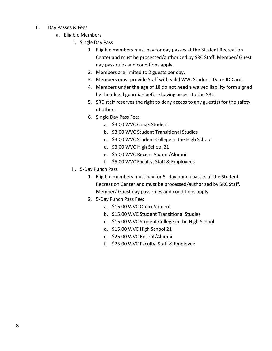- II. Day Passes & Fees
	- a. Eligible Members
		- i. Single Day Pass
			- 1. Eligible members must pay for day passes at the Student Recreation Center and must be processed/authorized by SRC Staff. Member/ Guest day pass rules and conditions apply.
			- 2. Members are limited to 2 guests per day.
			- 3. Members must provide Staff with valid WVC Student ID# or ID Card.
			- 4. Members under the age of 18 do not need a waived liability form signed by their legal guardian before having access to the SRC
			- 5. SRC staff reserves the right to deny access to any guest(s) for the safety of others
			- 6. Single Day Pass Fee:
				- a. \$3.00 WVC Omak Student
				- b. \$3.00 WVC Student Transitional Studies
				- c. \$3.00 WVC Student College in the High School
				- d. \$3.00 WVC High School 21
				- e. \$5.00 WVC Recent Alumni/Alumni
				- f. \$5.00 WVC Faculty, Staff & Employees
		- ii. 5-Day Punch Pass
			- 1. Eligible members must pay for 5- day punch passes at the Student Recreation Center and must be processed/authorized by SRC Staff. Member/ Guest day pass rules and conditions apply.
			- 2. 5-Day Punch Pass Fee:
				- a. \$15.00 WVC Omak Student
				- b. \$15.00 WVC Student Transitional Studies
				- c. \$15.00 WVC Student College in the High School
				- d. \$15.00 WVC High School 21
				- e. \$25.00 WVC Recent/Alumni
				- f. \$25.00 WVC Faculty, Staff & Employee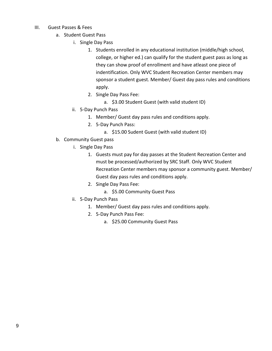- III. Guest Passes & Fees
	- a. Student Guest Pass
		- i. Single Day Pass
			- 1. Students enrolled in any educational institution (middle/high school, college, or higher ed.) can qualify for the student guest pass as long as they can show proof of enrollment and have atleast one piece of indentification. Only WVC Student Recreation Center members may sponsor a student guest. Member/ Guest day pass rules and conditions apply.
			- 2. Single Day Pass Fee:
				- a. \$3.00 Student Guest (with valid student ID)
		- ii. 5-Day Punch Pass
			- 1. Member/ Guest day pass rules and conditions apply.
			- 2. 5-Day Punch Pass:
				- a. \$15.00 Sudent Guest (with valid student ID)
	- b. Community Guest pass
		- i. Single Day Pass
			- 1. Guests must pay for day passes at the Student Recreation Center and must be processed/authorized by SRC Staff. Only WVC Student Recreation Center members may sponsor a community guest. Member/ Guest day pass rules and conditions apply.
			- 2. Single Day Pass Fee:
				- a. \$5.00 Community Guest Pass
		- ii. 5-Day Punch Pass
			- 1. Member/ Guest day pass rules and conditions apply.
			- 2. 5-Day Punch Pass Fee:
				- a. \$25.00 Community Guest Pass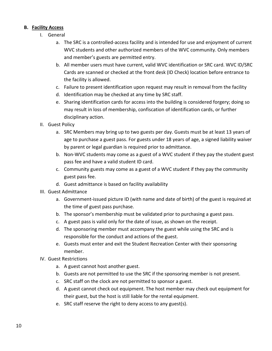## **B. Facility Access**

- I. General
	- a. The SRC is a controlled-access facility and is intended for use and enjoyment of current WVC students and other authorized members of the WVC community. Only members and member's guests are permitted entry.
	- b. All member users must have current, valid WVC identification or SRC card. WVC ID/SRC Cards are scanned or checked at the front desk (ID Check) location before entrance to the facility is allowed.
	- c. Failure to present identification upon request may result in removal from the facility
	- d. Identification may be checked at any time by SRC staff.
	- e. Sharing identification cards for access into the building is considered forgery; doing so may result in loss of membership, confiscation of identification cards, or further disciplinary action.
- II. Guest Policy
	- a. SRC Members may bring up to two guests per day. Guests must be at least 13 years of age to purchase a guest pass. For guests under 18 years of age, a signed liability waiver by parent or legal guardian is required prior to admittance.
	- b. Non-WVC students may come as a guest of a WVC student if they pay the student guest pass fee and have a valid student ID card.
	- c. Community guests may come as a guest of a WVC student if they pay the community guest pass fee.
	- d. Guest admittance is based on facility availability
- III. Guest Admittance
	- a. Government-issued picture ID (with name and date of birth) of the guest is required at the time of guest pass purchase.
	- b. The sponsor's membership must be validated prior to purchasing a guest pass.
	- c. A guest pass is valid only for the date of issue, as shown on the receipt.
	- d. The sponsoring member must accompany the guest while using the SRC and is responsible for the conduct and actions of the guest.
	- e. Guests must enter and exit the Student Recreation Center with their sponsoring member.
- IV. Guest Restrictions
	- a. A guest cannot host another guest.
	- b. Guests are not permitted to use the SRC if the sponsoring member is not present.
	- c. SRC staff on the clock are not permitted to sponsor a guest.
	- d. A guest cannot check out equipment. The host member may check out equipment for their guest, but the host is still liable for the rental equipment.
	- e. SRC staff reserve the right to deny access to any guest(s).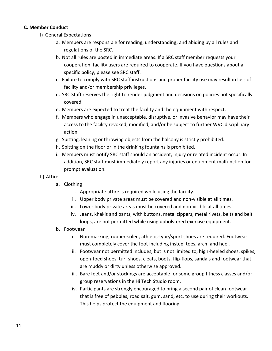## **C. Member Conduct**

- I) General Expectations
	- a. Members are responsible for reading, understanding, and abiding by all rules and regulations of the SRC.
	- b. Not all rules are posted in immediate areas. If a SRC staff member requests your cooperation, facility users are required to cooperate. If you have questions about a specific policy, please see SRC staff.
	- c. Failure to comply with SRC staff instructions and proper facility use may result in loss of facility and/or membership privileges.
	- d. SRC Staff reserves the right to render judgment and decisions on policies not specifically covered.
	- e. Members are expected to treat the facility and the equipment with respect.
	- f. Members who engage in unacceptable, disruptive, or invasive behavior may have their access to the facility revoked, modified, and/or be subject to further WVC disciplinary action.
	- g. Spitting, leaning or throwing objects from the balcony is strictly prohibited.
	- h. Spitting on the floor or in the drinking fountains is prohibited.
	- i. Members must notify SRC staff should an accident, injury or related incident occur. In addition, SRC staff must immediately report any injuries or equipment malfunction for prompt evaluation.

#### II) Attire

- a. Clothing
	- i. Appropriate attire is required while using the facility.
	- ii. Upper body private areas must be covered and non-visible at all times.
	- iii. Lower body private areas must be covered and non-visible at all times.
	- iv. Jeans, khakis and pants, with buttons, metal zippers, metal rivets, belts and belt loops, are not permitted while using upholstered exercise equipment.
- b. Footwear
	- i. Non-marking, rubber-soled, athletic-type/sport shoes are required. Footwear must completely cover the foot including instep, toes, arch, and heel.
	- ii. Footwear not permitted includes, but is not limited to, high-heeled shoes, spikes, open-toed shoes, turf shoes, cleats, boots, flip-flops, sandals and footwear that are muddy or dirty unless otherwise approved.
	- iii. Bare feet and/or stockings are acceptable for some group fitness classes and/or group reservations in the Hi Tech Studio room.
	- iv. Participants are strongly encouraged to bring a second pair of clean footwear that is free of pebbles, road salt, gum, sand, etc. to use during their workouts. This helps protect the equipment and flooring.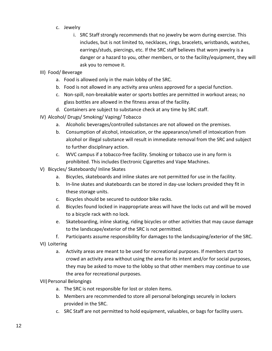- c. Jewelry
	- i. SRC Staff strongly recommends that no jewelry be worn during exercise. This includes, but is not limited to, necklaces, rings, bracelets, wristbands, watches, earrings/studs, piercings, etc. If the SRC staff believes that worn jewelry is a danger or a hazard to you, other members, or to the facility/equipment, they will ask you to remove it.
- III) Food/ Beverage
	- a. Food is allowed only in the main lobby of the SRC.
	- b. Food is not allowed in any activity area unless approved for a special function.
	- c. Non-spill, non-breakable water or sports bottles are permitted in workout areas; no glass bottles are allowed in the fitness areas of the facility.
	- d. Containers are subject to substance check at any time by SRC staff.
- IV) Alcohol/ Drugs/ Smoking/ Vaping/ Tobacco
	- a. Alcoholic beverages/controlled substances are not allowed on the premises.
	- b. Consumption of alcohol, intoxication, or the appearance/smell of intoxication from alcohol or illegal substance will result in immediate removal from the SRC and subject to further disciplinary action.
	- c. WVC campus if a tobacco-free facility. Smoking or tobacco use in any form is prohibited. This includes Electronic Cigarettes and Vape Machines.
- V) Bicycles/ Skateboards/ Inline Skates
	- a. Bicycles, skateboards and inline skates are not permitted for use in the facility.
	- b. In-line skates and skateboards can be stored in day-use lockers provided they fit in these storage units.
	- c. Bicycles should be secured to outdoor bike racks.
	- d. Bicycles found locked in inappropriate areas will have the locks cut and will be moved to a bicycle rack with no lock.
	- e. Skateboarding, inline skating, riding bicycles or other activities that may cause damage to the landscape/exterior of the SRC is not permitted.
- f. Participants assume responsibility for damages to the landscaping/exterior of the SRC. VI) Loitering
	- a. Activity areas are meant to be used for recreational purposes. If members start to crowd an activity area without using the area for its intent and/or for social purposes, they may be asked to move to the lobby so that other members may continue to use the area for recreational purposes.

VII)Personal Belongings

- a. The SRC is not responsible for lost or stolen items.
- b. Members are recommended to store all personal belongings securely in lockers provided in the SRC.
- c. SRC Staff are not permitted to hold equipment, valuables, or bags for facility users.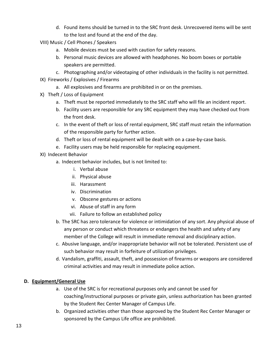- d. Found items should be turned in to the SRC front desk. Unrecovered items will be sent to the lost and found at the end of the day.
- VIII) Music / Cell Phones / Speakers
	- a. Mobile devices must be used with caution for safety reasons.
	- b. Personal music devices are allowed with headphones. No boom boxes or portable speakers are permitted.
	- c. Photographing and/or videotaping of other individuals in the facility is not permitted.
- IX) Fireworks / Explosives / Firearms
	- a. All explosives and firearms are prohibited in or on the premises.
- X) Theft / Loss of Equipment
	- a. Theft must be reported immediately to the SRC staff who will file an incident report.
	- b. Facility users are responsible for any SRC equipment they may have checked out from the front desk.
	- c. In the event of theft or loss of rental equipment, SRC staff must retain the information of the responsible party for further action.
	- d. Theft or loss of rental equipment will be dealt with on a case-by-case basis.
	- e. Facility users may be held responsible for replacing equipment.
- XI) Indecent Behavior
	- a. Indecent behavior includes, but is not limited to:
		- i. Verbal abuse
		- ii. Physical abuse
		- iii. Harassment
		- iv. Discrimination
		- v. Obscene gestures or actions
		- vi. Abuse of staff in any form
		- vii. Failure to follow an established policy
	- b. The SRC has zero tolerance for violence or intimidation of any sort. Any physical abuse of any person or conduct which threatens or endangers the health and safety of any member of the College will result in immediate removal and disciplinary action.
	- c. Abusive language, and/or inappropriate behavior will not be tolerated. Persistent use of such behavior may result in forfeiture of utilization privileges.
	- d. Vandalism, graffiti, assault, theft, and possession of firearms or weapons are considered criminal activities and may result in immediate police action.

## **D. Equipment/General Use**

- a. Use of the SRC is for recreational purposes only and cannot be used for coaching/instructional purposes or private gain, unless authorization has been granted by the Student Rec Center Manager of Campus Life.
- b. Organized activities other than those approved by the Student Rec Center Manager or sponsored by the Campus Life office are prohibited.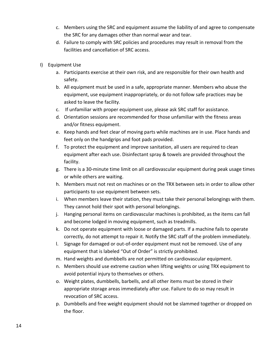- c. Members using the SRC and equipment assume the liability of and agree to compensate the SRC for any damages other than normal wear and tear.
- d. Failure to comply with SRC policies and procedures may result in removal from the facilities and cancellation of SRC access.
- I) Equipment Use
	- a. Participants exercise at their own risk, and are responsible for their own health and safety.
	- b. All equipment must be used in a safe, appropriate manner. Members who abuse the equipment, use equipment inappropriately, or do not follow safe practices may be asked to leave the facility.
	- c. If unfamiliar with proper equipment use, please ask SRC staff for assistance.
	- d. Orientation sessions are recommended for those unfamiliar with the fitness areas and/or fitness equipment.
	- e. Keep hands and feet clear of moving parts while machines are in use. Place hands and feet only on the handgrips and foot pads provided.
	- f. To protect the equipment and improve sanitation, all users are required to clean equipment after each use. Disinfectant spray & towels are provided throughout the facility.
	- g. There is a 30-minute time limit on all cardiovascular equipment during peak usage times or while others are waiting.
	- h. Members must not rest on machines or on the TRX between sets in order to allow other participants to use equipment between sets.
	- i. When members leave their station, they must take their personal belongings with them. They cannot hold their spot with personal belongings.
	- j. Hanging personal items on cardiovascular machines is prohibited, as the items can fall and become lodged in moving equipment, such as treadmills.
	- k. Do not operate equipment with loose or damaged parts. If a machine fails to operate correctly, do not attempt to repair it. Notify the SRC staff of the problem immediately.
	- l. Signage for damaged or out-of-order equipment must not be removed. Use of any equipment that is labeled "Out of Order" is strictly prohibited.
	- m. Hand weights and dumbbells are not permitted on cardiovascular equipment.
	- n. Members should use extreme caution when lifting weights or using TRX equipment to avoid potential injury to themselves or others.
	- o. Weight plates, dumbbells, barbells, and all other items must be stored in their appropriate storage areas immediately after use. Failure to do so may result in revocation of SRC access.
	- p. Dumbbells and free weight equipment should not be slammed together or dropped on the floor.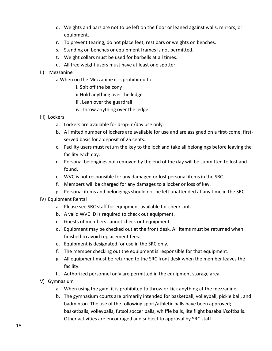- q. Weights and bars are not to be left on the floor or leaned against walls, mirrors, or equipment.
- r. To prevent tearing, do not place feet, rest bars or weights on benches.
- s. Standing on benches or equipment frames is not permitted.
- t. Weight collars must be used for barbells at all times.
- u. All free weight users must have at least one spotter.

## II) Mezzanine

- a.When on the Mezzanine it is prohibited to:
	- i. Spit off the balcony
	- ii.Hold anything over the ledge
	- iii. Lean over the guardrail
	- iv. Throw anything over the ledge
- III) Lockers
	- a. Lockers are available for drop-in/day use only.
	- b. A limited number of lockers are available for use and are assigned on a first-come, firstserved basis for a deposit of 25 cents.
	- c. Facility users must return the key to the lock and take all belongings before leaving the facility each day.
	- d. Personal belongings not removed by the end of the day will be submitted to lost and found.
	- e. WVC is not responsible for any damaged or lost personal items in the SRC.
	- f. Members will be charged for any damages to a locker or loss of key.
	- g. Personal items and belongings should not be left unattended at any time in the SRC.
- IV) Equipment Rental
	- a. Please see SRC staff for equipment available for check-out.
	- b. A valid WVC ID is required to check out equipment.
	- c. Guests of members cannot check out equipment.
	- d. Equipment may be checked out at the front desk. All items must be returned when finished to avoid replacement fees.
	- e. Equipment is designated for use in the SRC only.
	- f. The member checking out the equipment is responsible for that equipment.
	- g. All equipment must be returned to the SRC front desk when the member leaves the facility.
	- h. Authorized personnel only are permitted in the equipment storage area.
- V) Gymnasium
	- a. When using the gym, it is prohibited to throw or kick anything at the mezzanine.
	- b. The gymnasium courts are primarily intended for basketball, volleyball, pickle ball, and badminton. The use of the following sport/athletic balls have been approved; basketballs, volleyballs, futsol soccer balls, whiffle balls, lite flight baseball/softballs. Other activities are encouraged and subject to approval by SRC staff.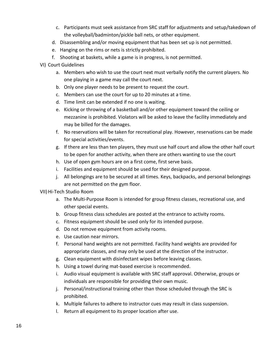- c. Participants must seek assistance from SRC staff for adjustments and setup/takedown of the volleyball/badminton/pickle ball nets, or other equipment.
- d. Disassembling and/or moving equipment that has been set up is not permitted.
- e. Hanging on the rims or nets is strictly prohibited.
- f. Shooting at baskets, while a game is in progress, is not permitted.
- VI) Court Guidelines
	- a. Members who wish to use the court next must verbally notify the current players. No one playing in a game may call the court next.
	- b. Only one player needs to be present to request the court.
	- c. Members can use the court for up to 20 minutes at a time.
	- d. Time limit can be extended if no one is waiting.
	- e. Kicking or throwing of a basketball and/or other equipment toward the ceiling or mezzanine is prohibited. Violators will be asked to leave the facility immediately and may be billed for the damages.
	- f. No reservations will be taken for recreational play. However, reservations can be made for special activities/events.
	- g. If there are less than ten players, they must use half court and allow the other half court to be open for another activity, when there are others wanting to use the court
	- h. Use of open gym hours are on a first come, first serve basis.
	- i. Facilities and equipment should be used for their designed purpose.
	- j. All belongings are to be secured at all times. Keys, backpacks, and personal belongings are not permitted on the gym floor.

## VII)Hi-Tech Studio Room

- a. The Multi-Purpose Room is intended for group fitness classes, recreational use, and other special events.
- b. Group fitness class schedules are posted at the entrance to activity rooms.
- c. Fitness equipment should be used only for its intended purpose.
- d. Do not remove equipment from activity rooms.
- e. Use caution near mirrors.
- f. Personal hand weights are not permitted. Facility hand weights are provided for appropriate classes, and may only be used at the direction of the instructor.
- g. Clean equipment with disinfectant wipes before leaving classes.
- h. Using a towel during mat-based exercise is recommended.
- i. Audio visual equipment is available with SRC staff approval. Otherwise, groups or individuals are responsible for providing their own music.
- j. Personal/instructional training other than those scheduled through the SRC is prohibited.
- k. Multiple failures to adhere to instructor cues may result in class suspension.
- l. Return all equipment to its proper location after use.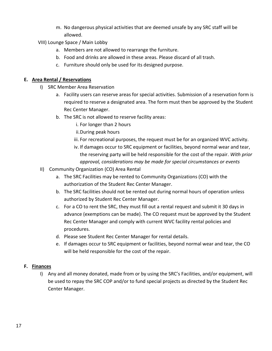m. No dangerous physical activities that are deemed unsafe by any SRC staff will be allowed.

VIII) Lounge Space / Main Lobby

- a. Members are not allowed to rearrange the furniture.
- b. Food and drinks are allowed in these areas. Please discard of all trash.
- c. Furniture should only be used for its designed purpose.

## **E. Area Rental / Reservations**

- I) SRC Member Area Reservation
	- a. Facility users can reserve areas for special activities. Submission of a reservation form is required to reserve a designated area. The form must then be approved by the Student Rec Center Manager.
	- b. The SRC is not allowed to reserve facility areas:
		- i. For longer than 2 hours
		- ii.During peak hours
		- iii. For recreational purposes, the request must be for an organized WVC activity.
		- iv. If damages occur to SRC equipment or facilities, beyond normal wear and tear, the reserving party will be held responsible for the cost of the repair. *With prior approval, considerations may be made for special circumstances or events*
- II) Community Organization (CO) Area Rental
	- a. The SRC Facilities may be rented to Community Organizations (CO) with the authorization of the Student Rec Center Manager.
	- b. The SRC facilities should not be rented out during normal hours of operation unless authorized by Student Rec Center Manager.
	- c. For a CO to rent the SRC, they must fill out a rental request and submit it 30 days in advance (exemptions can be made). The CO request must be approved by the Student Rec Center Manager and comply with current WVC facility rental policies and procedures.
	- d. Please see Student Rec Center Manager for rental details.
	- e. If damages occur to SRC equipment or facilities, beyond normal wear and tear, the CO will be held responsible for the cost of the repair.

## **F. Finances**

I) Any and all money donated, made from or by using the SRC's Facilities, and/or equipment, will be used to repay the SRC COP and/or to fund special projects as directed by the Student Rec Center Manager.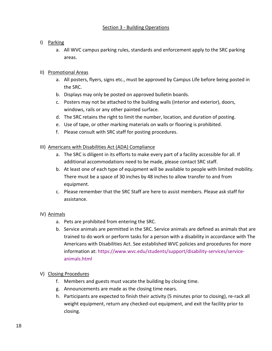#### Section 3 - Building Operations

## I) Parking

a. All WVC campus parking rules, standards and enforcement apply to the SRC parking areas.

# II) Promotional Areas

- a. All posters, flyers, signs etc., must be approved by Campus Life before being posted in the SRC.
- b. Displays may only be posted on approved bulletin boards.
- c. Posters may not be attached to the building walls (interior and exterior), doors, windows, rails or any other painted surface.
- d. The SRC retains the right to limit the number, location, and duration of posting.
- e. Use of tape, or other marking materials on walls or flooring is prohibited.
- f. Please consult with SRC staff for posting procedures.
- III) Americans with Disabilities Act (ADA) Compliance
	- a. The SRC is diligent in its efforts to make every part of a facility accessible for all. If additional accommodations need to be made, please contact SRC staff.
	- b. At least one of each type of equipment will be available to people with limited mobility. There must be a space of 30 inches by 48 inches to allow transfer to and from equipment.
	- c. Please remember that the SRC Staff are here to assist members. Please ask staff for assistance.

# IV) Animals

- a. Pets are prohibited from entering the SRC.
- b. Service animals are permitted in the SRC. Service animals are defined as animals that are trained to do work or perform tasks for a person with a disability in accordance with The Americans with Disabilities Act. See established WVC policies and procedures for more information at: [https://www.wvc.edu/students/support/disability-services/service](https://www.wvc.edu/students/support/disability-services/service-animals.html)[animals.html](https://www.wvc.edu/students/support/disability-services/service-animals.html)
- V) Closing Procedures
	- f. Members and guests must vacate the building by closing time.
	- g. Announcements are made as the closing time nears.
	- h. Participants are expected to finish their activity (5 minutes prior to closing), re-rack all weight equipment, return any checked-out equipment, and exit the facility prior to closing.